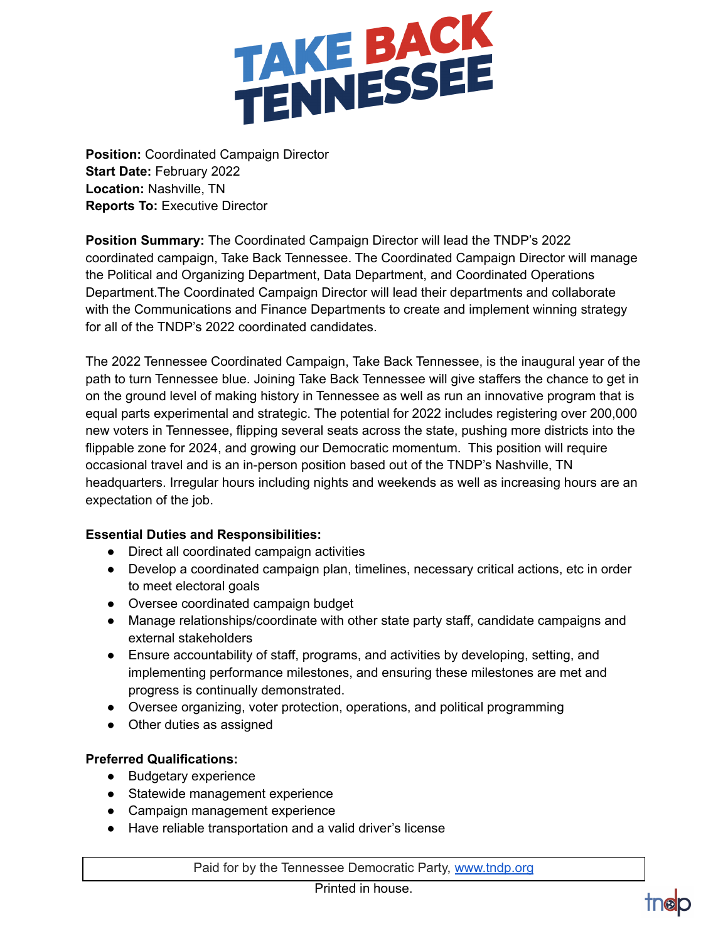

**Position:** Coordinated Campaign Director **Start Date:** February 2022 **Location:** Nashville, TN **Reports To:** Executive Director

**Position Summary:** The Coordinated Campaign Director will lead the TNDP's 2022 coordinated campaign, Take Back Tennessee. The Coordinated Campaign Director will manage the Political and Organizing Department, Data Department, and Coordinated Operations Department.The Coordinated Campaign Director will lead their departments and collaborate with the Communications and Finance Departments to create and implement winning strategy for all of the TNDP's 2022 coordinated candidates.

The 2022 Tennessee Coordinated Campaign, Take Back Tennessee, is the inaugural year of the path to turn Tennessee blue. Joining Take Back Tennessee will give staffers the chance to get in on the ground level of making history in Tennessee as well as run an innovative program that is equal parts experimental and strategic. The potential for 2022 includes registering over 200,000 new voters in Tennessee, flipping several seats across the state, pushing more districts into the flippable zone for 2024, and growing our Democratic momentum. This position will require occasional travel and is an in-person position based out of the TNDP's Nashville, TN headquarters. Irregular hours including nights and weekends as well as increasing hours are an expectation of the job.

## **Essential Duties and Responsibilities:**

- Direct all coordinated campaign activities
- Develop a coordinated campaign plan, timelines, necessary critical actions, etc in order to meet electoral goals
- Oversee coordinated campaign budget
- Manage relationships/coordinate with other state party staff, candidate campaigns and external stakeholders
- Ensure accountability of staff, programs, and activities by developing, setting, and implementing performance milestones, and ensuring these milestones are met and progress is continually demonstrated.
- Oversee organizing, voter protection, operations, and political programming
- Other duties as assigned

## **Preferred Qualifications:**

- Budgetary experience
- Statewide management experience
- Campaign management experience
- Have reliable transportation and a valid driver's license

Paid for by the Tennessee Democratic Party, [www.tndp.org](http://www.tndp.org/)

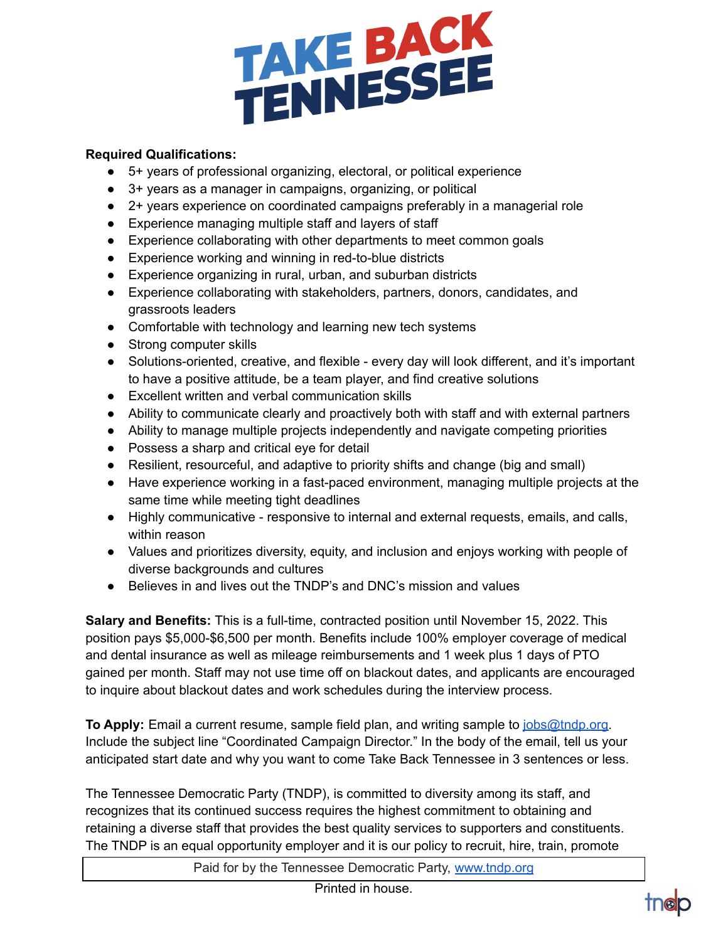

## **Required Qualifications:**

- 5+ years of professional organizing, electoral, or political experience
- 3+ years as a manager in campaigns, organizing, or political
- 2+ years experience on coordinated campaigns preferably in a managerial role
- Experience managing multiple staff and layers of staff
- Experience collaborating with other departments to meet common goals
- Experience working and winning in red-to-blue districts
- Experience organizing in rural, urban, and suburban districts
- Experience collaborating with stakeholders, partners, donors, candidates, and grassroots leaders
- Comfortable with technology and learning new tech systems
- Strong computer skills
- Solutions-oriented, creative, and flexible every day will look different, and it's important to have a positive attitude, be a team player, and find creative solutions
- Excellent written and verbal communication skills
- Ability to communicate clearly and proactively both with staff and with external partners
- Ability to manage multiple projects independently and navigate competing priorities
- Possess a sharp and critical eye for detail
- Resilient, resourceful, and adaptive to priority shifts and change (big and small)
- Have experience working in a fast-paced environment, managing multiple projects at the same time while meeting tight deadlines
- Highly communicative responsive to internal and external requests, emails, and calls, within reason
- Values and prioritizes diversity, equity, and inclusion and enjoys working with people of diverse backgrounds and cultures
- Believes in and lives out the TNDP's and DNC's mission and values

**Salary and Benefits:** This is a full-time, contracted position until November 15, 2022. This position pays \$5,000-\$6,500 per month. Benefits include 100% employer coverage of medical and dental insurance as well as mileage reimbursements and 1 week plus 1 days of PTO gained per month. Staff may not use time off on blackout dates, and applicants are encouraged to inquire about blackout dates and work schedules during the interview process.

**To Apply:** Email a current resume, sample field plan, and writing sample to [jobs@tndp.org.](mailto:jobs@tndp.org) Include the subject line "Coordinated Campaign Director." In the body of the email, tell us your anticipated start date and why you want to come Take Back Tennessee in 3 sentences or less.

The Tennessee Democratic Party (TNDP), is committed to diversity among its staff, and recognizes that its continued success requires the highest commitment to obtaining and retaining a diverse staff that provides the best quality services to supporters and constituents. The TNDP is an equal opportunity employer and it is our policy to recruit, hire, train, promote